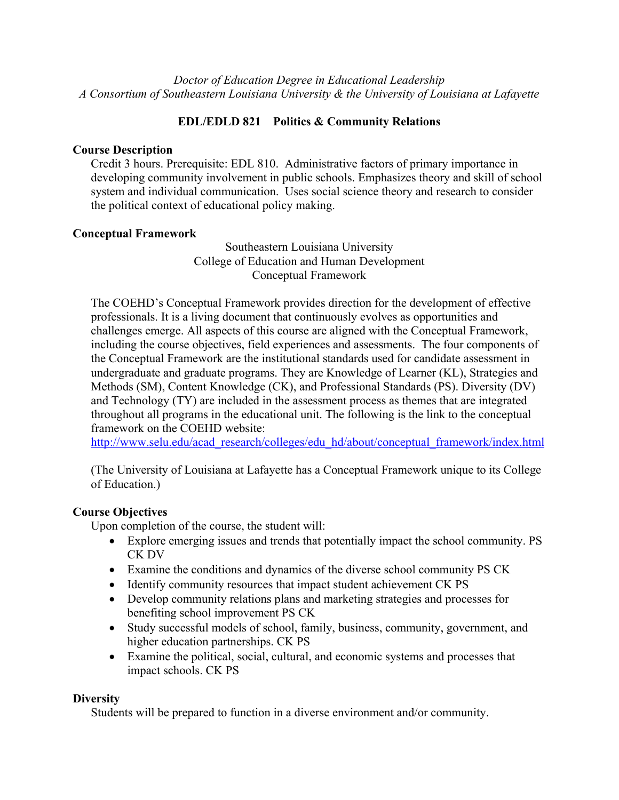*Doctor of Education Degree in Educational Leadership A Consortium of Southeastern Louisiana University & the University of Louisiana at Lafayette*

# **EDL/EDLD 821 Politics & Community Relations**

## **Course Description**

Credit 3 hours. Prerequisite: EDL 810. Administrative factors of primary importance in developing community involvement in public schools. Emphasizes theory and skill of school system and individual communication. Uses social science theory and research to consider the political context of educational policy making.

## **Conceptual Framework**

Southeastern Louisiana University College of Education and Human Development Conceptual Framework

The COEHD's Conceptual Framework provides direction for the development of effective professionals. It is a living document that continuously evolves as opportunities and challenges emerge. All aspects of this course are aligned with the Conceptual Framework, including the course objectives, field experiences and assessments. The four components of the Conceptual Framework are the institutional standards used for candidate assessment in undergraduate and graduate programs. They are Knowledge of Learner (KL), Strategies and Methods (SM), Content Knowledge (CK), and Professional Standards (PS). Diversity (DV) and Technology (TY) are included in the assessment process as themes that are integrated throughout all programs in the educational unit. The following is the link to the conceptual framework on the COEHD website:

http://www.selu.edu/acad\_research/colleges/edu\_hd/about/conceptual\_framework/index.html

(The University of Louisiana at Lafayette has a Conceptual Framework unique to its College of Education.)

# **Course Objectives**

Upon completion of the course, the student will:

- Explore emerging issues and trends that potentially impact the school community. PS CK DV
- Examine the conditions and dynamics of the diverse school community PS CK
- Identify community resources that impact student achievement CK PS
- Develop community relations plans and marketing strategies and processes for benefiting school improvement PS CK
- Study successful models of school, family, business, community, government, and higher education partnerships. CK PS
- Examine the political, social, cultural, and economic systems and processes that impact schools. CK PS

### **Diversity**

Students will be prepared to function in a diverse environment and/or community.